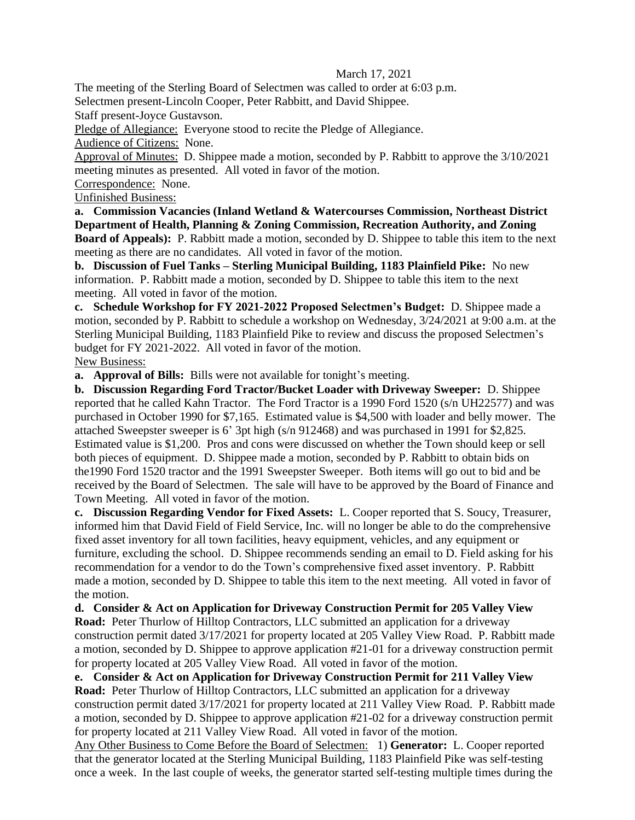## March 17, 2021

The meeting of the Sterling Board of Selectmen was called to order at 6:03 p.m.

Selectmen present-Lincoln Cooper, Peter Rabbitt, and David Shippee.

Staff present-Joyce Gustavson.

Pledge of Allegiance: Everyone stood to recite the Pledge of Allegiance.

Audience of Citizens: None.

Approval of Minutes: D. Shippee made a motion, seconded by P. Rabbitt to approve the 3/10/2021 meeting minutes as presented. All voted in favor of the motion.

Correspondence: None.

Unfinished Business:

**a. Commission Vacancies (Inland Wetland & Watercourses Commission, Northeast District Department of Health, Planning & Zoning Commission, Recreation Authority, and Zoning Board of Appeals):** P. Rabbitt made a motion, seconded by D. Shippee to table this item to the next meeting as there are no candidates. All voted in favor of the motion.

**b. Discussion of Fuel Tanks – Sterling Municipal Building, 1183 Plainfield Pike:** No new information. P. Rabbitt made a motion, seconded by D. Shippee to table this item to the next meeting. All voted in favor of the motion.

**c. Schedule Workshop for FY 2021-2022 Proposed Selectmen's Budget:** D. Shippee made a motion, seconded by P. Rabbitt to schedule a workshop on Wednesday, 3/24/2021 at 9:00 a.m. at the Sterling Municipal Building, 1183 Plainfield Pike to review and discuss the proposed Selectmen's budget for FY 2021-2022. All voted in favor of the motion. New Business:

**a. Approval of Bills:** Bills were not available for tonight's meeting.

**b. Discussion Regarding Ford Tractor/Bucket Loader with Driveway Sweeper:** D. Shippee reported that he called Kahn Tractor. The Ford Tractor is a 1990 Ford 1520 (s/n UH22577) and was purchased in October 1990 for \$7,165. Estimated value is \$4,500 with loader and belly mower. The attached Sweepster sweeper is 6' 3pt high (s/n 912468) and was purchased in 1991 for \$2,825. Estimated value is \$1,200. Pros and cons were discussed on whether the Town should keep or sell both pieces of equipment. D. Shippee made a motion, seconded by P. Rabbitt to obtain bids on the1990 Ford 1520 tractor and the 1991 Sweepster Sweeper. Both items will go out to bid and be received by the Board of Selectmen. The sale will have to be approved by the Board of Finance and Town Meeting. All voted in favor of the motion.

**c. Discussion Regarding Vendor for Fixed Assets:** L. Cooper reported that S. Soucy, Treasurer, informed him that David Field of Field Service, Inc. will no longer be able to do the comprehensive fixed asset inventory for all town facilities, heavy equipment, vehicles, and any equipment or furniture, excluding the school. D. Shippee recommends sending an email to D. Field asking for his recommendation for a vendor to do the Town's comprehensive fixed asset inventory. P. Rabbitt made a motion, seconded by D. Shippee to table this item to the next meeting. All voted in favor of the motion.

**d. Consider & Act on Application for Driveway Construction Permit for 205 Valley View Road:** Peter Thurlow of Hilltop Contractors, LLC submitted an application for a driveway construction permit dated 3/17/2021 for property located at 205 Valley View Road. P. Rabbitt made a motion, seconded by D. Shippee to approve application #21-01 for a driveway construction permit for property located at 205 Valley View Road. All voted in favor of the motion.

**e. Consider & Act on Application for Driveway Construction Permit for 211 Valley View** 

**Road:** Peter Thurlow of Hilltop Contractors, LLC submitted an application for a driveway construction permit dated 3/17/2021 for property located at 211 Valley View Road. P. Rabbitt made a motion, seconded by D. Shippee to approve application #21-02 for a driveway construction permit for property located at 211 Valley View Road. All voted in favor of the motion.

Any Other Business to Come Before the Board of Selectmen: 1) **Generator:** L. Cooper reported that the generator located at the Sterling Municipal Building, 1183 Plainfield Pike was self-testing once a week. In the last couple of weeks, the generator started self-testing multiple times during the